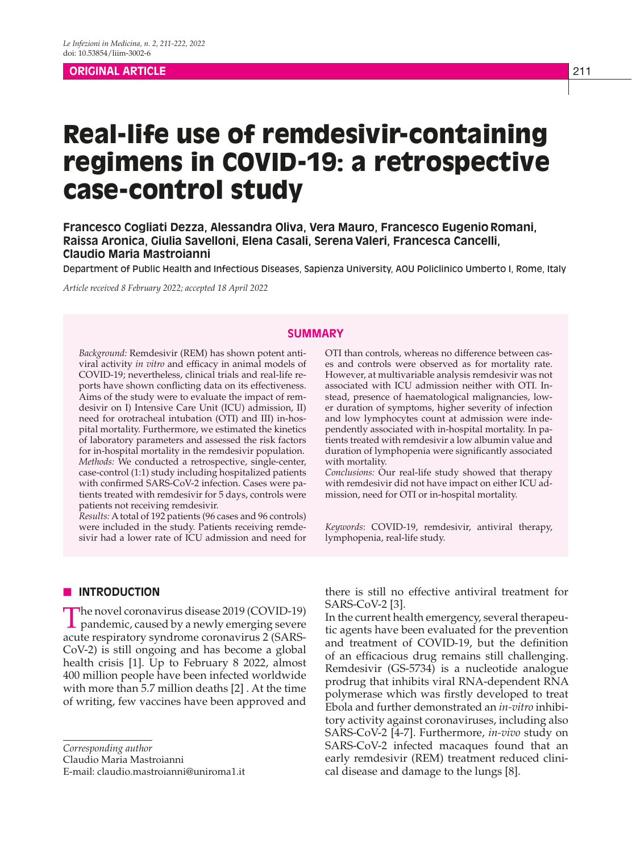# **ORIGINAL ARTICLE** 211

# Real-life use of remdesivir-containing regimens in COVID-19: a retrospective case-control study

**Francesco Cogliati Dezza, Alessandra Oliva, Vera Mauro, Francesco EugenioRomani, Raissa Aronica, Giulia Savelloni, Elena Casali, SerenaValeri, Francesca Cancelli, Claudio Maria Mastroianni**

Department of Public Health and Infectious Diseases, Sapienza University, AOU Policlinico Umberto I, Rome, Italy

*Article received 8 February 2022; accepted 18 April 2022*

# **SUMMARY**

*Background:* Remdesivir (REM) has shown potent antiviral activity *in vitro* and efficacy in animal models of COVID-19; nevertheless, clinical trials and real-life reports have shown conflicting data on its effectiveness. Aims of the study were to evaluate the impact of remdesivir on I) Intensive Care Unit (ICU) admission, II) need for orotracheal intubation (OTI) and III) in-hospital mortality. Furthermore, we estimated the kinetics of laboratory parameters and assessed the risk factors for in-hospital mortality in the remdesivir population. *Methods:* We conducted a retrospective, single-center, case-control (1:1) study including hospitalized patients with confirmed SARS-CoV-2 infection. Cases were patients treated with remdesivir for 5 days, controls were patients not receiving remdesivir.

*Results:* A total of 192 patients (96 cases and 96 controls) were included in the study. Patients receiving remdesivir had a lower rate of ICU admission and need for

**N INTRODUCTION** 

The novel coronavirus disease 2019 (COVID-19)  $\perp$  pandemic, caused by a newly emerging severe acute respiratory syndrome coronavirus 2 (SARS-CoV-2) is still ongoing and has become a global health crisis [1]. Up to February 8 2022, almost 400 million people have been infected worldwide with more than 5.7 million deaths [2] . At the time of writing, few vaccines have been approved and

*Corresponding author*

Claudio Maria Mastroianni

E-mail: claudio.mastroianni@uniroma1.it

OTI than controls, whereas no difference between cases and controls were observed as for mortality rate. However, at multivariable analysis remdesivir was not associated with ICU admission neither with OTI. Instead, presence of haematological malignancies, lower duration of symptoms, higher severity of infection and low lymphocytes count at admission were independently associated with in-hospital mortality. In patients treated with remdesivir a low albumin value and duration of lymphopenia were significantly associated with mortality.

*Conclusions:* Our real-life study showed that therapy with remdesivir did not have impact on either ICU admission, need for OTI or in-hospital mortality.

*Keywords*: COVID-19, remdesivir, antiviral therapy, lymphopenia, real-life study.

there is still no effective antiviral treatment for SARS-CoV-2 [3].

In the current health emergency, several therapeutic agents have been evaluated for the prevention and treatment of COVID-19, but the definition of an efficacious drug remains still challenging. Remdesivir (GS-5734) is a nucleotide analogue prodrug that inhibits viral RNA-dependent RNA polymerase which was firstly developed to treat Ebola and further demonstrated an *in-vitro* inhibitory activity against coronaviruses, including also SARS-CoV-2 [4-7]. Furthermore, *in-vivo* study on SARS-CoV-2 infected macaques found that an early remdesivir (REM) treatment reduced clinical disease and damage to the lungs [8].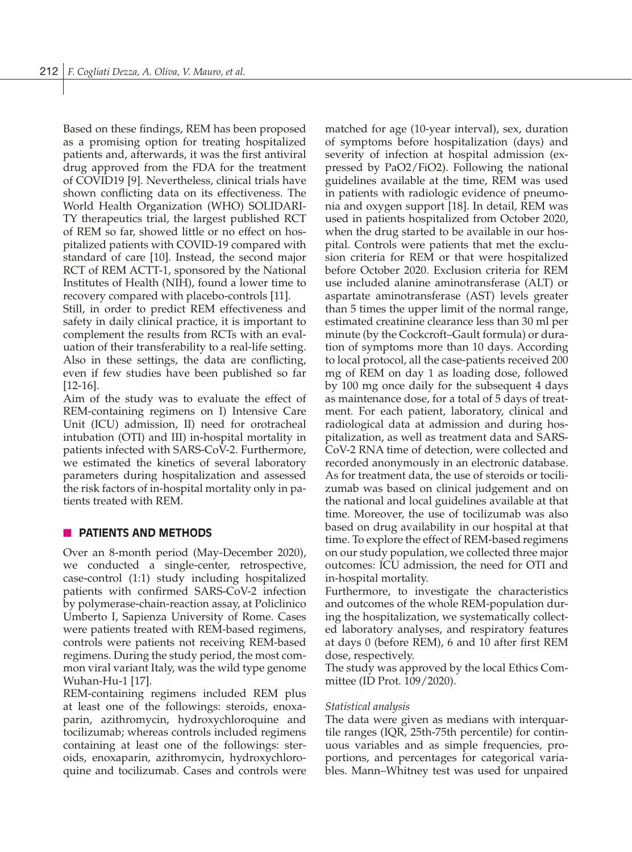Based on these findings, REM has been proposed as a promising option for treating hospitalized patients and, afterwards, it was the first antiviral drug approved from the FDA for the treatment of COVID19 [9]. Nevertheless, clinical trials have shown conflicting data on its effectiveness. The World Health Organization (WHO) SOLIDARI-TY therapeutics trial, the largest published RCT of REM so far, showed little or no effect on hospitalized patients with COVID-19 compared with standard of care [10]. Instead, the second major RCT of REM ACTT-1, sponsored by the National Institutes of Health (NIH), found a lower time to recovery compared with placebo-controls [11].

Still, in order to predict REM effectiveness and safety in daily clinical practice, it is important to complement the results from RCTs with an evaluation of their transferability to a real-life setting. Also in these settings, the data are conflicting, even if few studies have been published so far [12-16].

Aim of the study was to evaluate the effect of REM-containing regimens on I) Intensive Care Unit (ICU) admission, II) need for orotracheal intubation (OTI) and III) in-hospital mortality in patients infected with SARS-CoV-2. Furthermore, we estimated the kinetics of several laboratory parameters during hospitalization and assessed the risk factors of in-hospital mortality only in patients treated with REM.

# **N** PATIENTS AND METHODS

Over an 8-month period (May-December 2020), we conducted a single-center, retrospective, case-control (1:1) study including hospitalized patients with confirmed SARS-CoV-2 infection by polymerase-chain-reaction assay, at Policlinico Umberto I, Sapienza University of Rome. Cases were patients treated with REM-based regimens, controls were patients not receiving REM-based regimens. During the study period, the most common viral variant Italy, was the wild type genome Wuhan-Hu-1 [17].

REM-containing regimens included REM plus at least one of the followings: steroids, enoxaparin, azithromycin, hydroxychloroquine and tocilizumab; whereas controls included regimens containing at least one of the followings: steroids, enoxaparin, azithromycin, hydroxychloroquine and tocilizumab. Cases and controls were matched for age (10-year interval), sex, duration of symptoms before hospitalization (days) and severity of infection at hospital admission (expressed by PaO2/FiO2). Following the national guidelines available at the time, REM was used in patients with radiologic evidence of pneumonia and oxygen support [18]. In detail, REM was used in patients hospitalized from October 2020, when the drug started to be available in our hospital. Controls were patients that met the exclusion criteria for REM or that were hospitalized before October 2020. Exclusion criteria for REM use included alanine aminotransferase (ALT) or aspartate aminotransferase (AST) levels greater than 5 times the upper limit of the normal range, estimated creatinine clearance less than 30 ml per minute (by the Cockcroft–Gault formula) or duration of symptoms more than 10 days. According to local protocol, all the case-patients received 200 mg of REM on day 1 as loading dose, followed by 100 mg once daily for the subsequent 4 days as maintenance dose, for a total of 5 days of treatment. For each patient, laboratory, clinical and radiological data at admission and during hospitalization, as well as treatment data and SARS-CoV-2 RNA time of detection, were collected and recorded anonymously in an electronic database. As for treatment data, the use of steroids or tocilizumab was based on clinical judgement and on the national and local guidelines available at that time. Moreover, the use of tocilizumab was also based on drug availability in our hospital at that time. To explore the effect of REM-based regimens on our study population, we collected three major outcomes: ICU admission, the need for OTI and in-hospital mortality.

Furthermore, to investigate the characteristics and outcomes of the whole REM-population during the hospitalization, we systematically collected laboratory analyses, and respiratory features at days 0 (before REM), 6 and 10 after first REM dose, respectively.

The study was approved by the local Ethics Committee (ID Prot. 109/2020).

#### *Statistical analysis*

The data were given as medians with interquartile ranges (IQR, 25th-75th percentile) for continuous variables and as simple frequencies, proportions, and percentages for categorical variables. Mann–Whitney test was used for unpaired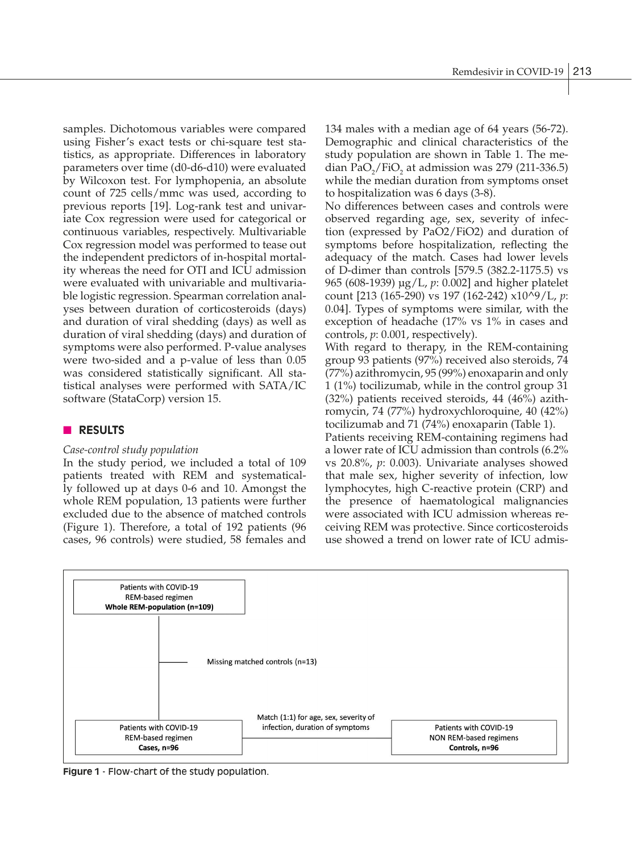samples. Dichotomous variables were compared using Fisher's exact tests or chi-square test statistics, as appropriate. Differences in laboratory parameters over time (d0-d6-d10) were evaluated by Wilcoxon test. For lymphopenia, an absolute count of 725 cells/mmc was used, according to previous reports [19]. Log-rank test and univariate Cox regression were used for categorical or continuous variables, respectively. Multivariable Cox regression model was performed to tease out the independent predictors of in-hospital mortality whereas the need for OTI and ICU admission were evaluated with univariable and multivariable logistic regression. Spearman correlation analyses between duration of corticosteroids (days) and duration of viral shedding (days) as well as duration of viral shedding (days) and duration of symptoms were also performed. P-value analyses were two-sided and a p-value of less than 0.05 was considered statistically significant. All statistical analyses were performed with SATA/IC software (StataCorp) version 15.

# **n RESULTS**

# *Case-control study population*

In the study period, we included a total of 109 patients treated with REM and systematically followed up at days 0-6 and 10. Amongst the whole REM population, 13 patients were further excluded due to the absence of matched controls (Figure 1). Therefore, a total of 192 patients (96 cases, 96 controls) were studied, 58 females and

134 males with a median age of 64 years (56-72). Demographic and clinical characteristics of the study population are shown in Table 1. The median  $PaO_2/FiO_2$  at admission was 279 (211-336.5) while the median duration from symptoms onset to hospitalization was 6 days (3-8).

No differences between cases and controls were observed regarding age, sex, severity of infection (expressed by PaO2/FiO2) and duration of symptoms before hospitalization, reflecting the adequacy of the match. Cases had lower levels of D-dimer than controls [579.5 (382.2-1175.5) vs 965 (608-1939) µg/L, *p*: 0.002] and higher platelet count [213 (165-290) vs 197 (162-242) x10^9/L, *p*: 0.04]. Types of symptoms were similar, with the exception of headache (17% vs 1% in cases and controls, *p*: 0.001, respectively).

With regard to therapy, in the REM-containing group 93 patients (97%) received also steroids, 74 (77%) azithromycin, 95 (99%) enoxaparin and only 1 (1%) tocilizumab, while in the control group 31 (32%) patients received steroids, 44 (46%) azithromycin, 74 (77%) hydroxychloroquine, 40 (42%) tocilizumab and 71 (74%) enoxaparin (Table 1).

Patients receiving REM-containing regimens had a lower rate of ICU admission than controls (6.2% vs 20.8%, *p*: 0.003). Univariate analyses showed that male sex, higher severity of infection, low lymphocytes, high C-reactive protein (CRP) and the presence of haematological malignancies were associated with ICU admission whereas receiving REM was protective. Since corticosteroids use showed a trend on lower rate of ICU admis-



**Figure 1** - Flow-chart of the study population.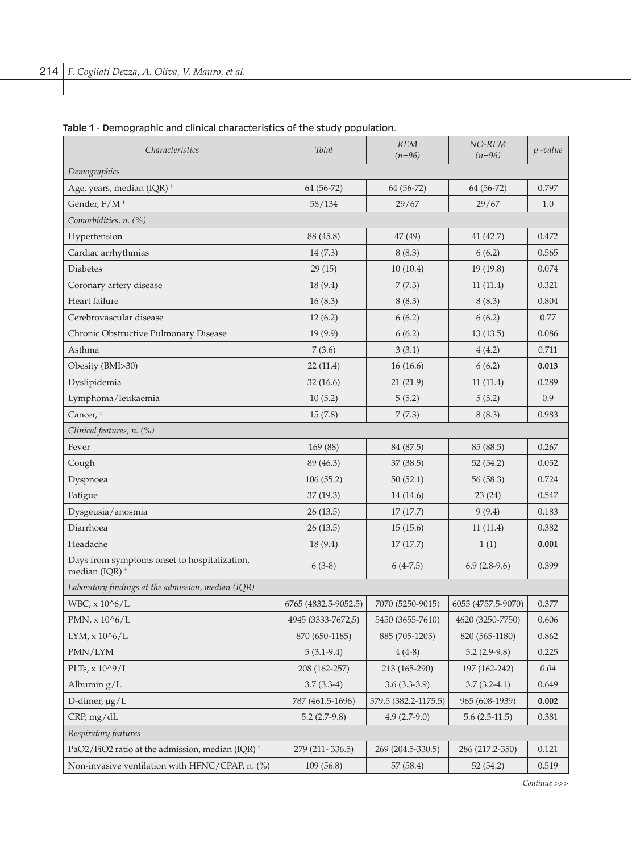| <i>Characteristics</i>                                                    | Total                | <b>REM</b><br>$(n=96)$ | NO-REM<br>$(n=96)$ | $p$ -value |  |
|---------------------------------------------------------------------------|----------------------|------------------------|--------------------|------------|--|
| Demographics                                                              |                      |                        |                    |            |  |
| Age, years, median (IQR) <sup>+</sup>                                     | 64 (56-72)           | 64 (56-72)             | 64 (56-72)         | 0.797      |  |
| Gender, F/M <sup>+</sup>                                                  | 58/134               | 29/67                  | 29/67              | 1.0        |  |
| Comorbidities, n. (%)                                                     |                      |                        |                    |            |  |
| Hypertension                                                              | 88 (45.8)            | 47 (49)                | 41 (42.7)          | 0.472      |  |
| Cardiac arrhythmias                                                       | 14(7.3)              | 8(8.3)                 | 6(6.2)             | 0.565      |  |
| Diabetes                                                                  | 29(15)               | 10(10.4)               | 19(19.8)           | 0.074      |  |
| Coronary artery disease                                                   | 18(9.4)              | 7(7.3)                 | 11(11.4)           | 0.321      |  |
| Heart failure                                                             | 16(8.3)              | 8(8.3)                 | 8(8.3)             | 0.804      |  |
| Cerebrovascular disease                                                   | 12(6.2)              | 6(6.2)                 | 6(6.2)             | 0.77       |  |
| Chronic Obstructive Pulmonary Disease                                     | 19(9.9)              | 6(6.2)                 | 13(13.5)           | 0.086      |  |
| Asthma                                                                    | 7(3.6)               | 3(3.1)                 | 4(4.2)             | 0.711      |  |
| Obesity (BMI>30)                                                          | 22(11.4)             | 16(16.6)               | 6(6.2)             | 0.013      |  |
| Dyslipidemia                                                              | 32(16.6)             | 21(21.9)               | 11(11.4)           | 0.289      |  |
| Lymphoma/leukaemia                                                        | 10(5.2)              | 5(5.2)                 | 5(5.2)             | 0.9        |  |
| Cancer, ‡                                                                 | 15(7.8)              | 7(7.3)                 | 8(8.3)             | 0.983      |  |
| Clinical features, n. (%)                                                 |                      |                        |                    |            |  |
| Fever                                                                     | 169 (88)             | 84 (87.5)              | 85 (88.5)          | 0.267      |  |
| Cough                                                                     | 89 (46.3)            | 37 (38.5)              | 52 (54.2)          | 0.052      |  |
| Dyspnoea                                                                  | 106(55.2)            | 50(52.1)               | 56 (58.3)          | 0.724      |  |
| Fatigue                                                                   | 37(19.3)             | 14 (14.6)              | 23(24)             | 0.547      |  |
| Dysgeusia/anosmia                                                         | 26(13.5)             | 17(17.7)               | 9(9.4)             | 0.183      |  |
| Diarrhoea                                                                 | 26(13.5)             | 15(15.6)               | 11(11.4)           | 0.382      |  |
| Headache                                                                  | 18(9.4)              | 17(17.7)               | 1(1)               | 0.001      |  |
| Days from symptoms onset to hospitalization,<br>median (IOR) <sup>+</sup> | $6(3-8)$             | $6(4-7.5)$             | $6,9(2.8-9.6)$     | 0.399      |  |
| Laboratory findings at the admission, median (IQR)                        |                      |                        |                    |            |  |
| WBC, x 10^6/L                                                             | 6765 (4832.5-9052.5) | 7070 (5250-9015)       | 6055 (4757.5-9070) | 0.377      |  |
| PMN, $x 10^{6}/L$                                                         | 4945 (3333-7672,5)   | 5450 (3655-7610)       | 4620 (3250-7750)   | 0.606      |  |
| LYM, $x 10^{6}/L$                                                         | 870 (650-1185)       | 885 (705-1205)         | 820 (565-1180)     | 0.862      |  |
| PMN/LYM                                                                   | $5(3.1-9.4)$         | $4(4-8)$               | $5.2(2.9-9.8)$     | 0.225      |  |
| PLTs, x 10^9/L                                                            | 208 (162-257)        | 213 (165-290)          | 197 (162-242)      | $0.04\,$   |  |
| Albumin $g/L$                                                             | $3.7(3.3-4)$         | $3.6(3.3-3.9)$         | $3.7(3.2-4.1)$     | 0.649      |  |
| D-dimer, $\mu$ g/L                                                        | 787 (461.5-1696)     | 579.5 (382.2-1175.5)   | 965 (608-1939)     | 0.002      |  |
| CRP, mg/dL                                                                | $5.2(2.7-9.8)$       | $4.9(2.7-9.0)$         | $5.6(2.5-11.5)$    | 0.381      |  |
| Respiratory features                                                      |                      |                        |                    |            |  |
| PaO2/FiO2 ratio at the admission, median (IQR) <sup>+</sup>               | 279 (211-336.5)      | 269 (204.5-330.5)      | 286 (217.2-350)    | 0.121      |  |
| Non-invasive ventilation with HFNC/CPAP, n. (%)                           | 109(56.8)            | 57 (58.4)              | 52(54.2)           | 0.519      |  |

# **Table 1** - Demographic and clinical characteristics of the study population.

*Continue >>>*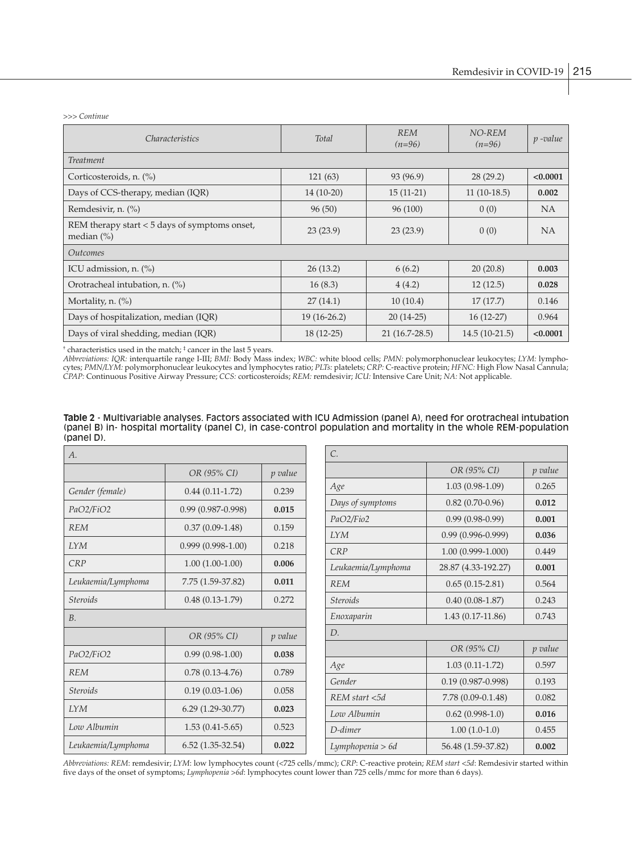*>>> Continue*

| <i>Characteristics</i>                                           | Total         | <b>REM</b><br>$(n=96)$ | NO-REM<br>$(n=96)$ | $p$ -value |
|------------------------------------------------------------------|---------------|------------------------|--------------------|------------|
| <b>Treatment</b>                                                 |               |                        |                    |            |
| Corticosteroids, n. (%)                                          | 121(63)       | 93 (96.9)              | 28(29.2)           | < 0.0001   |
| Days of CCS-therapy, median (IQR)                                | $14(10-20)$   | $15(11-21)$            | $11(10-18.5)$      | 0.002      |
| Remdesivir, n. (%)                                               | 96(50)        | 96 (100)               | 0(0)               | NA         |
| REM therapy start $<$ 5 days of symptoms onset,<br>median $(\%)$ | 23(23.9)      | 23(23.9)               | 0(0)               | <b>NA</b>  |
| <i><u>Outcomes</u></i>                                           |               |                        |                    |            |
| ICU admission, n. (%)                                            | 26(13.2)      | 6(6.2)                 | 20(20.8)           | 0.003      |
| Orotracheal intubation, n. (%)                                   | 16(8.3)       | 4(4.2)                 | 12(12.5)           | 0.028      |
| Mortality, n. $(\%)$                                             | 27(14.1)      | 10(10.4)               | 17(17.7)           | 0.146      |
| Days of hospitalization, median (IQR)                            | $19(16-26.2)$ | $20(14-25)$            | $16(12-27)$        | 0.964      |
| Days of viral shedding, median (IQR)                             | $18(12-25)$   | $21(16.7-28.5)$        | $14.5(10-21.5)$    | < 0.0001   |

† characteristics used in the match; ‡ cancer in the last 5 years.

*Abbreviations: IQR:* interquartile range I-III; *BMI:* Body Mass index; *WBC:* white blood cells; *PMN:* polymorphonuclear leukocytes; *LYM:* lymphocytes; *PMN/LYM:* polymorphonuclear leukocytes and lymphocytes ratio; *PLTs:* platelets; *CRP:* C-reactive protein; *HFNC:* High Flow Nasal Cannula; *CPAP:* Continuous Positive Airway Pressure; *CCS:* corticosteroids; *REM:* remdesivir; *ICU:* Intensive Care Unit; *NA:* Not applicable.

**Table 2** - Multivariable analyses. Factors associated with ICU Admission (panel A), need for orotracheal intubation (panel B) in- hospital mortality (panel C), in case-control population and mortality in the whole REM-population (panel D).

| A.                 |                       |         | $\mathcal{C}$               |
|--------------------|-----------------------|---------|-----------------------------|
|                    | OR (95% CI)           | p value |                             |
| Gender (female)    | $0.44(0.11-1.72)$     | 0.239   | Age                         |
| PaO2/FiO2          | $0.99(0.987 - 0.998)$ | 0.015   | Days of sy                  |
| <b>REM</b>         | $0.37(0.09-1.48)$     | 0.159   | PaO2/Fio.                   |
| <b>IYM</b>         | $0.999(0.998-1.00)$   | 0.218   | <b>IYM</b><br>CRP           |
| CRP                | $1.00(1.00-1.00)$     | 0.006   | Leukaemi                    |
| Leukaemia/Lymphoma | 7.75 (1.59-37.82)     | 0.011   | <b>REM</b>                  |
| <b>Steroids</b>    | $0.48(0.13-1.79)$     | 0.272   | <b>Steroids</b>             |
| B.                 |                       |         | Enoxapara                   |
|                    | OR (95% CI)           | p value | D.                          |
| PaO2/FiO2          | $0.99(0.98-1.00)$     | 0.038   |                             |
| <b>REM</b>         | $0.78(0.13-4.76)$     | 0.789   | Age                         |
| <b>Steroids</b>    | $0.19(0.03-1.06)$     | 0.058   | Gender                      |
| <b>IYM</b>         | $6.29(1.29-30.77)$    | 0.023   | <b>REM</b> star<br>Low Albu |
| Low Albumin        | $1.53(0.41-5.65)$     | 0.523   | D-dimer                     |
| Leukaemia/Lymphoma | $6.52(1.35-32.54)$    | 0.022   | Lymphope                    |

| $\mathcal{C}$      |                       |         |
|--------------------|-----------------------|---------|
|                    | OR (95% CI)           | p value |
| Age                | $1.03(0.98-1.09)$     | 0.265   |
| Days of symptoms   | $0.82(0.70-0.96)$     | 0.012   |
| PaO2/Fio2          | $0.99(0.98-0.99)$     | 0.001   |
| <b>IYM</b>         | $0.99(0.996 - 0.999)$ | 0.036   |
| CRP                | $1.00(0.999 - 1.000)$ | 0.449   |
| Leukaemia/Lymphoma | 28.87 (4.33-192.27)   | 0.001   |
| <b>REM</b>         | $0.65(0.15-2.81)$     | 0.564   |
| <b>Steroids</b>    | $0.40(0.08-1.87)$     | 0.243   |
| Enoxaparin         | 1.43 (0.17-11.86)     | 0.743   |
| D.                 |                       |         |
|                    | OR (95% CI)           | p value |
| Age                | $1.03(0.11-1.72)$     | 0.597   |
| Gender             | $0.19(0.987 - 0.998)$ | 0.193   |
| REM start <5d      | 7.78 (0.09-0.1.48)    | 0.082   |
| Low Albumin        | $0.62(0.998-1.0)$     | 0.016   |
| D-dimer            | $1.00(1.0-1.0)$       | 0.455   |
| Lymphopenia > 6d   | 56.48 (1.59-37.82)    | 0.002   |

*Abbreviations: REM*: remdesivir; *LYM*: low lymphocytes count (<725 cells/mmc); *CRP*: C-reactive protein; *REM start <5d*: Remdesivir started within five days of the onset of symptoms; *Lymphopenia >6d*: lymphocytes count lower than 725 cells/mmc for more than 6 days).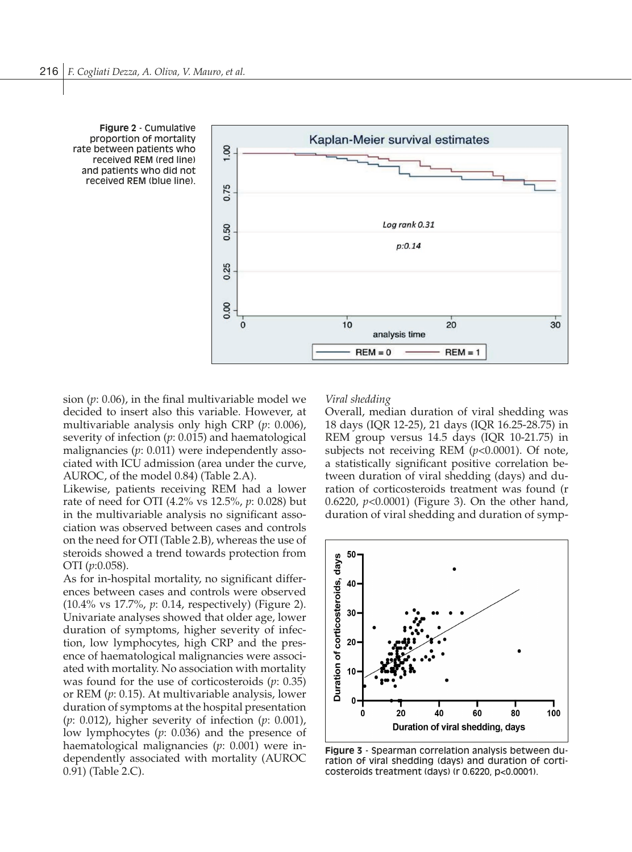



sion (*p*: 0.06), in the final multivariable model we decided to insert also this variable. However, at multivariable analysis only high CRP (*p*: 0.006), severity of infection (*p*: 0.015) and haematological malignancies (*p*: 0.011) were independently associated with ICU admission (area under the curve, AUROC, of the model 0.84) (Table 2.A).

Likewise, patients receiving REM had a lower rate of need for OTI (4.2% vs 12.5%, *p*: 0.028) but in the multivariable analysis no significant association was observed between cases and controls on the need for OTI (Table 2.B), whereas the use of steroids showed a trend towards protection from OTI (*p*:0.058).

As for in-hospital mortality, no significant differences between cases and controls were observed (10.4% vs 17.7%, *p*: 0.14, respectively) (Figure 2). Univariate analyses showed that older age, lower duration of symptoms, higher severity of infection, low lymphocytes, high CRP and the presence of haematological malignancies were associated with mortality. No association with mortality was found for the use of corticosteroids (*p*: 0.35) or REM (*p*: 0.15). At multivariable analysis, lower duration of symptoms at the hospital presentation (*p*: 0.012), higher severity of infection (*p*: 0.001), low lymphocytes (*p*: 0.036) and the presence of haematological malignancies (*p*: 0.001) were independently associated with mortality (AUROC 0.91) (Table 2.C).

#### *Viral shedding*

Overall, median duration of viral shedding was 18 days (IQR 12-25), 21 days (IQR 16.25-28.75) in REM group versus 14.5 days (IQR 10-21.75) in subjects not receiving REM (*p*<0.0001). Of note, a statistically significant positive correlation between duration of viral shedding (days) and duration of corticosteroids treatment was found (r 0.6220, *p*<0.0001) (Figure 3). On the other hand, duration of viral shedding and duration of symp-



**Figure 3** - Spearman correlation analysis between duration of viral shedding (days) and duration of corticosteroids treatment (days) (r 0.6220, p<0.0001).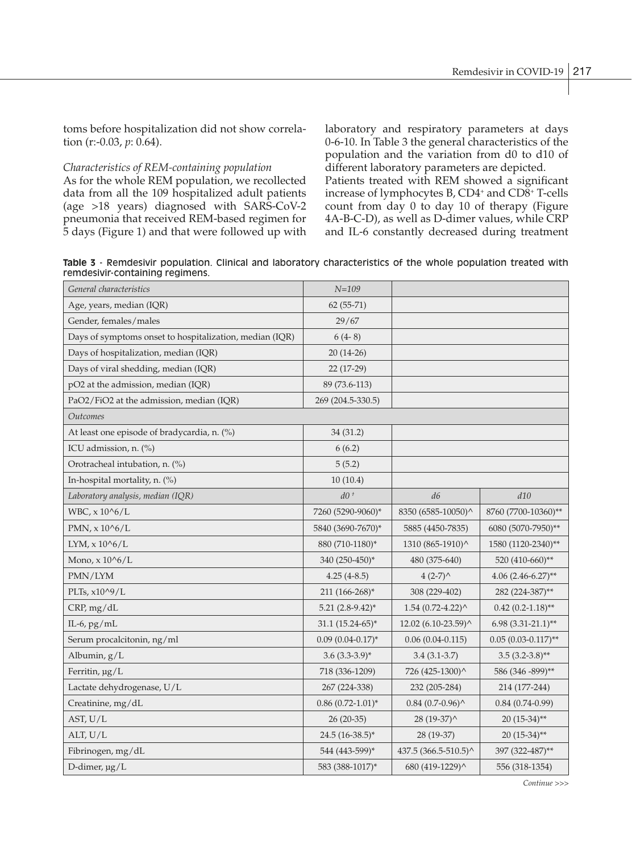toms before hospitalization did not show correlation (r:-0.03, *p*: 0.64).

# *Characteristics of REM-containing population*

As for the whole REM population, we recollected data from all the 109 hospitalized adult patients (age >18 years) diagnosed with SARS-CoV-2 pneumonia that received REM-based regimen for 5 days (Figure 1) and that were followed up with laboratory and respiratory parameters at days 0-6-10. In Table 3 the general characteristics of the population and the variation from d0 to d10 of different laboratory parameters are depicted.

Patients treated with REM showed a significant increase of lymphocytes B, CD4<sup>+</sup> and CD8<sup>+</sup> T-cells count from day 0 to day 10 of therapy (Figure 4A-B-C-D), as well as D-dimer values, while CRP and IL-6 constantly decreased during treatment

**Table 3** - Remdesivir population. Clinical and laboratory characteristics of the whole population treated with remdesivir-containing regimens.

| General characteristics                                 | $N = 109$             |                                                   |                       |
|---------------------------------------------------------|-----------------------|---------------------------------------------------|-----------------------|
| Age, years, median (IQR)                                | $62(55-71)$           |                                                   |                       |
| Gender, females/males                                   | 29/67                 |                                                   |                       |
| Days of symptoms onset to hospitalization, median (IQR) | $6(4-8)$              |                                                   |                       |
| Days of hospitalization, median (IQR)                   | $20(14-26)$           |                                                   |                       |
| Days of viral shedding, median (IQR)                    | 22 (17-29)            |                                                   |                       |
| pO2 at the admission, median (IQR)                      | 89 (73.6-113)         |                                                   |                       |
| PaO2/FiO2 at the admission, median (IQR)                | 269 (204.5-330.5)     |                                                   |                       |
| Outcomes                                                |                       |                                                   |                       |
| At least one episode of bradycardia, n. (%)             | 34 (31.2)             |                                                   |                       |
| ICU admission, n. (%)                                   | 6(6.2)                |                                                   |                       |
| Orotracheal intubation, n. (%)                          | 5(5.2)                |                                                   |                       |
| In-hospital mortality, n. (%)                           | 10(10.4)              |                                                   |                       |
| Laboratory analysis, median (IQR)                       | $d0+$                 | d6                                                | d10                   |
| WBC, x 10^6/L                                           | 7260 (5290-9060)*     | 8350 (6585-10050)^                                | 8760 (7700-10360)**   |
| PMN, $x 10^{6}/L$                                       | 5840 (3690-7670)*     | 5885 (4450-7835)                                  | 6080 (5070-7950)**    |
| $LYM$ , $x 10^{6}/L$                                    | 880 (710-1180)*       | 1310 (865-1910)^                                  | 1580 (1120-2340)**    |
| Mono, $x 10^{6}/L$                                      | 340 (250-450)*        | 480 (375-640)                                     | 520 (410-660)**       |
| PMN/LYM                                                 | $4.25(4-8.5)$         | $4(2-7)^{4}$                                      | $4.06$ (2.46-6.27)**  |
| PLTs, x10^9/L                                           | 211 (166-268)*        | 308 (229-402)                                     | 282 (224-387)**       |
| CRP, mg/dL                                              | $5.21(2.8-9.42)^*$    | $1.54$ (0.72-4.22) <sup><math>\wedge</math></sup> | $0.42(0.2-1.18)$ **   |
| IL-6, $pg/mL$                                           | $31.1 (15.24-65)^*$   | 12.02 (6.10-23.59)^                               | $6.98(3.31-21.1)$ **  |
| Serum procalcitonin, ng/ml                              | $0.09(0.04-0.17)^*$   | $0.06(0.04-0.115)$                                | $0.05(0.03-0.117)$ ** |
| Albumin, g/L                                            | $3.6(3.3-3.9)$ *      | $3.4(3.1 - 3.7)$                                  | $3.5(3.2-3.8)$ **     |
| Ferritin, µg/L                                          | 718 (336-1209)        | 726 (425-1300)^                                   | 586 (346 - 899)**     |
| Lactate dehydrogenase, U/L                              | 267 (224-338)         | 232 (205-284)                                     | 214 (177-244)         |
| Creatinine, mg/dL                                       | $0.86(0.72 - 1.01)^*$ | $0.84$ (0.7-0.96) $^{\wedge}$                     | $0.84(0.74-0.99)$     |
| AST, U/L                                                | $26(20-35)$           | $28(19-37)$                                       | $20(15-34)$ **        |
| ALT, U/L                                                | 24.5 (16-38.5)*       | 28 (19-37)                                        | $20(15-34)$ **        |
| Fibrinogen, mg/dL                                       | 544 (443-599)*        | 437.5 (366.5-510.5)^                              | 397 (322-487)**       |
| D-dimer, µg/L                                           | 583 (388-1017)*       | 680 (419-1229)^                                   | 556 (318-1354)        |

*Continue >>>*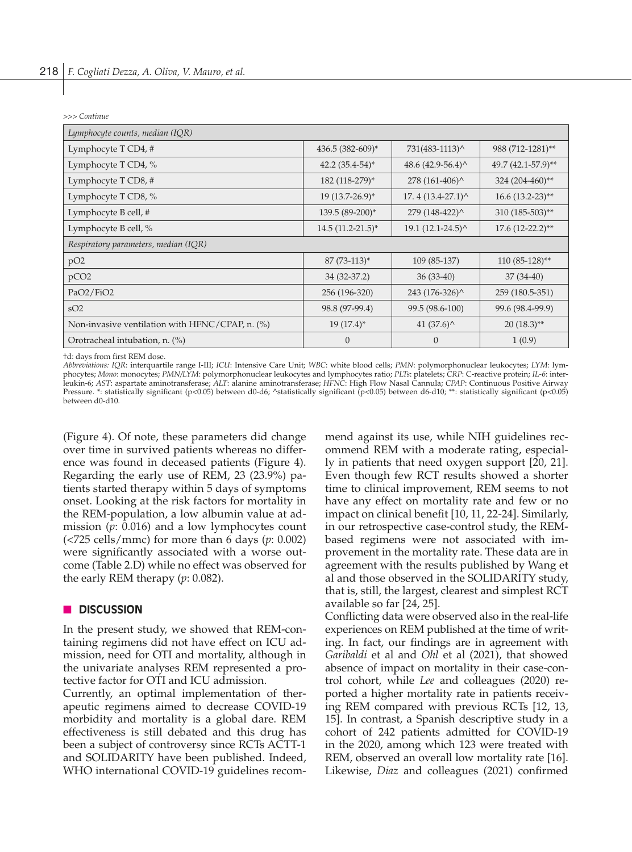*>>> Continue*

| Lymphocyte counts, median (IQR)                       |                     |                                            |                       |  |
|-------------------------------------------------------|---------------------|--------------------------------------------|-----------------------|--|
| Lymphocyte T CD4, #                                   | 436.5 (382-609)*    | 731(483-1113)^                             | 988 (712-1281)**      |  |
| Lymphocyte T CD4, %                                   | $42.2(35.4-54)^*$   | 48.6 $(42.9-56.4)$                         | 49.7 (42.1-57.9)**    |  |
| Lymphocyte T CD8, #                                   | 182 (118-279)*      | $278(161-406)^{^}$                         | 324 (204-460)**       |  |
| Lymphocyte T CD8, %                                   | $19(13.7-26.9)^*$   | $17.4(13.4-27.1)$ ^                        | $16.6 (13.2 - 23)$ ** |  |
| Lymphocyte B cell, #                                  | 139.5 (89-200)*     | 279 (148-422)^                             | 310 (185-503)**       |  |
| Lymphocyte B cell, %                                  | $14.5(11.2-21.5)^*$ | $19.1 (12.1 - 24.5)^{\wedge}$              | $17.6$ $(12-22.2)$ ** |  |
| Respiratory parameters, median (IQR)                  |                     |                                            |                       |  |
| pO2                                                   | $87(73-113)^*$      | 109 (85-137)                               | $110(85-128)$ **      |  |
| pCO <sub>2</sub>                                      | 34 (32-37.2)        | $36(33-40)$                                | $37(34-40)$           |  |
| PaO2/FiO2                                             | 256 (196-320)       | 243 (176-326)^                             | 259 (180.5-351)       |  |
| SO <sub>2</sub>                                       | 98.8 (97-99.4)      | 99.5 (98.6-100)                            | 99.6 (98.4-99.9)      |  |
| Non-invasive ventilation with $HFNC/CPAP$ , n. $(\%)$ | $19(17.4)^*$        | 41 $(37.6)$ <sup><math>\wedge</math></sup> | $20(18.3)$ **         |  |
| Orotracheal intubation, n. (%)                        | $\theta$            | $\Omega$                                   | 1(0.9)                |  |

†d: days from first REM dose.

*Abbreviations: IQR*: interquartile range I-III; *ICU*: Intensive Care Unit; *WBC*: white blood cells; *PMN*: polymorphonuclear leukocytes; *LYM*: lymphocytes; *Mono*: monocytes; *PMN/LYM*: polymorphonuclear leukocytes and lymphocytes ratio; *PLTs*: platelets; *CRP*: C-reactive protein; *IL-6*: interleukin-6; *AST*: aspartate aminotransferase; *ALT*: alanine aminotransferase; *HFNC*: High Flow Nasal Cannula; *CPAP*: Continuous Positive Airway Pressure. \*: statistically significant (p<0.05) between d0-d6; ^statistically significant (p<0.05) between d6-d10; \*\*: statistically significant (p<0.05) between d0-d10.

(Figure 4). Of note, these parameters did change over time in survived patients whereas no difference was found in deceased patients (Figure 4). Regarding the early use of REM, 23 (23.9%) patients started therapy within 5 days of symptoms onset. Looking at the risk factors for mortality in the REM-population, a low albumin value at admission (*p*: 0.016) and a low lymphocytes count (<725 cells/mmc) for more than 6 days (*p*: 0.002) were significantly associated with a worse outcome (Table 2.D) while no effect was observed for the early REM therapy (*p*: 0.082).

#### n **DISCUSSION**

In the present study, we showed that REM-containing regimens did not have effect on ICU admission, need for OTI and mortality, although in the univariate analyses REM represented a protective factor for OTI and ICU admission.

Currently, an optimal implementation of therapeutic regimens aimed to decrease COVID-19 morbidity and mortality is a global dare. REM effectiveness is still debated and this drug has been a subject of controversy since RCTs ACTT-1 and SOLIDARITY have been published. Indeed, WHO international COVID-19 guidelines recommend against its use, while NIH guidelines recommend REM with a moderate rating, especially in patients that need oxygen support [20, 21]. Even though few RCT results showed a shorter time to clinical improvement, REM seems to not have any effect on mortality rate and few or no impact on clinical benefit [10, 11, 22-24]. Similarly, in our retrospective case-control study, the REMbased regimens were not associated with improvement in the mortality rate. These data are in agreement with the results published by Wang et al and those observed in the SOLIDARITY study, that is, still, the largest, clearest and simplest RCT available so far [24, 25].

Conflicting data were observed also in the real-life experiences on REM published at the time of writing. In fact, our findings are in agreement with *Garibaldi* et al and *Ohl* et al (2021), that showed absence of impact on mortality in their case-control cohort, while *Lee* and colleagues (2020) reported a higher mortality rate in patients receiving REM compared with previous RCTs [12, 13, 15]. In contrast, a Spanish descriptive study in a cohort of 242 patients admitted for COVID-19 in the 2020, among which 123 were treated with REM, observed an overall low mortality rate [16]. Likewise, *Diaz* and colleagues (2021) confirmed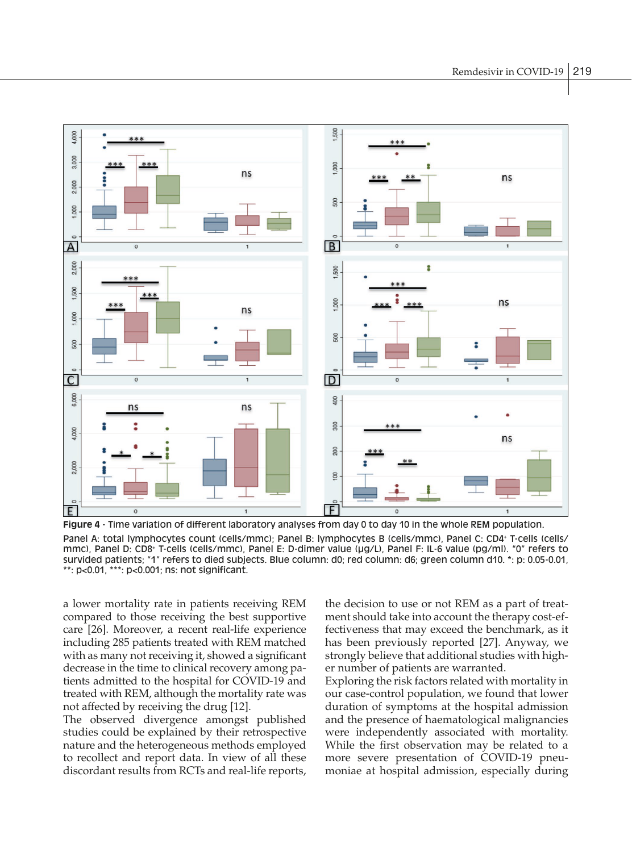

**Figure 4** - Time variation of different laboratory analyses from day 0 to day 10 in the whole REM population. Panel A: total lymphocytes count (cells/mmc); Panel B: lymphocytes B (cells/mmc), Panel C: CD4+ T-cells (cells/ mmc), Panel D: CD8+ T-cells (cells/mmc), Panel E: D-dimer value (µg/L), Panel F: IL-6 value (pg/ml). "0" refers to survided patients; "1" refers to died subjects. Blue column: d0; red column: d6; green column d10. \*: p: 0.05-0.01, \*\*: p<0.01, \*\*\*: p<0.001; ns: not significant.

a lower mortality rate in patients receiving REM compared to those receiving the best supportive care [26]. Moreover, a recent real-life experience including 285 patients treated with REM matched with as many not receiving it, showed a significant decrease in the time to clinical recovery among patients admitted to the hospital for COVID-19 and treated with REM, although the mortality rate was not affected by receiving the drug [12].

The observed divergence amongst published studies could be explained by their retrospective nature and the heterogeneous methods employed to recollect and report data. In view of all these discordant results from RCTs and real-life reports, the decision to use or not REM as a part of treatment should take into account the therapy cost-effectiveness that may exceed the benchmark, as it has been previously reported [27]. Anyway, we strongly believe that additional studies with higher number of patients are warranted.

Exploring the risk factors related with mortality in our case-control population, we found that lower duration of symptoms at the hospital admission and the presence of haematological malignancies were independently associated with mortality. While the first observation may be related to a more severe presentation of COVID-19 pneumoniae at hospital admission, especially during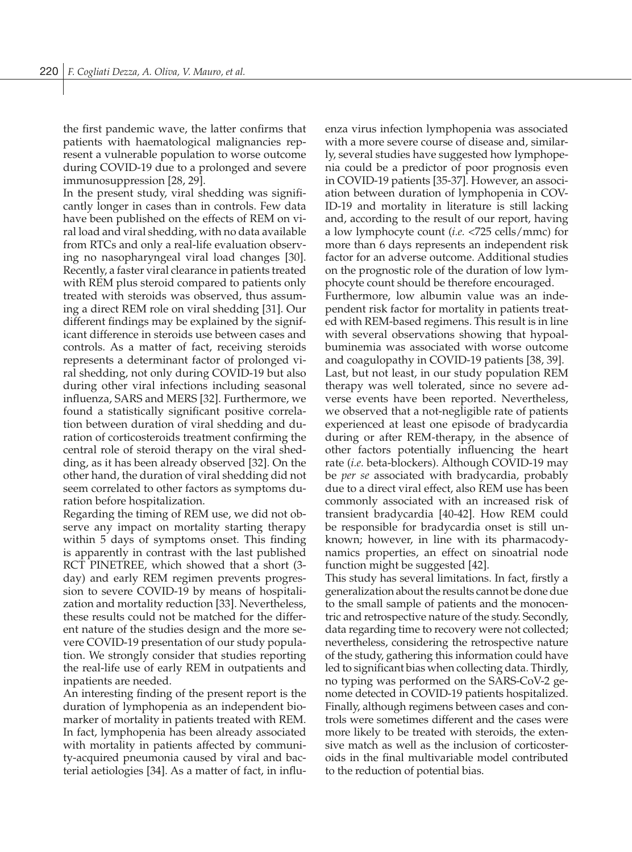the first pandemic wave, the latter confirms that patients with haematological malignancies represent a vulnerable population to worse outcome during COVID-19 due to a prolonged and severe immunosuppression [28, 29].

In the present study, viral shedding was significantly longer in cases than in controls. Few data have been published on the effects of REM on viral load and viral shedding, with no data available from RTCs and only a real-life evaluation observing no nasopharyngeal viral load changes [30]. Recently, a faster viral clearance in patients treated with REM plus steroid compared to patients only treated with steroids was observed, thus assuming a direct REM role on viral shedding [31]. Our different findings may be explained by the significant difference in steroids use between cases and controls. As a matter of fact, receiving steroids represents a determinant factor of prolonged viral shedding, not only during COVID-19 but also during other viral infections including seasonal influenza, SARS and MERS [32]. Furthermore, we found a statistically significant positive correlation between duration of viral shedding and duration of corticosteroids treatment confirming the central role of steroid therapy on the viral shedding, as it has been already observed [32]. On the other hand, the duration of viral shedding did not seem correlated to other factors as symptoms duration before hospitalization.

Regarding the timing of REM use, we did not observe any impact on mortality starting therapy within 5 days of symptoms onset. This finding is apparently in contrast with the last published RCT PINETREE, which showed that a short (3 day) and early REM regimen prevents progression to severe COVID-19 by means of hospitalization and mortality reduction [33]. Nevertheless, these results could not be matched for the different nature of the studies design and the more severe COVID-19 presentation of our study population. We strongly consider that studies reporting the real-life use of early REM in outpatients and inpatients are needed.

An interesting finding of the present report is the duration of lymphopenia as an independent biomarker of mortality in patients treated with REM. In fact, lymphopenia has been already associated with mortality in patients affected by community-acquired pneumonia caused by viral and bacterial aetiologies [34]. As a matter of fact, in influenza virus infection lymphopenia was associated with a more severe course of disease and, similarly, several studies have suggested how lymphopenia could be a predictor of poor prognosis even in COVID-19 patients [35-37]. However, an association between duration of lymphopenia in COV-ID-19 and mortality in literature is still lacking and, according to the result of our report, having a low lymphocyte count (*i.e.* <725 cells/mmc) for more than 6 days represents an independent risk factor for an adverse outcome. Additional studies on the prognostic role of the duration of low lymphocyte count should be therefore encouraged. Furthermore, low albumin value was an independent risk factor for mortality in patients treated with REM-based regimens. This result is in line with several observations showing that hypoalbuminemia was associated with worse outcome and coagulopathy in COVID-19 patients [38, 39]. Last, but not least, in our study population REM therapy was well tolerated, since no severe adverse events have been reported. Nevertheless, we observed that a not-negligible rate of patients experienced at least one episode of bradycardia during or after REM-therapy, in the absence of other factors potentially influencing the heart rate (*i.e.* beta-blockers). Although COVID-19 may be *per se* associated with bradycardia, probably due to a direct viral effect, also REM use has been commonly associated with an increased risk of transient bradycardia [40-42]. How REM could be responsible for bradycardia onset is still unknown; however, in line with its pharmacodynamics properties, an effect on sinoatrial node function might be suggested [42].

This study has several limitations. In fact, firstly a generalization about the results cannot be done due to the small sample of patients and the monocentric and retrospective nature of the study. Secondly, data regarding time to recovery were not collected; nevertheless, considering the retrospective nature of the study, gathering this information could have led to significant bias when collecting data. Thirdly, no typing was performed on the SARS-CoV-2 genome detected in COVID-19 patients hospitalized. Finally, although regimens between cases and controls were sometimes different and the cases were more likely to be treated with steroids, the extensive match as well as the inclusion of corticosteroids in the final multivariable model contributed to the reduction of potential bias.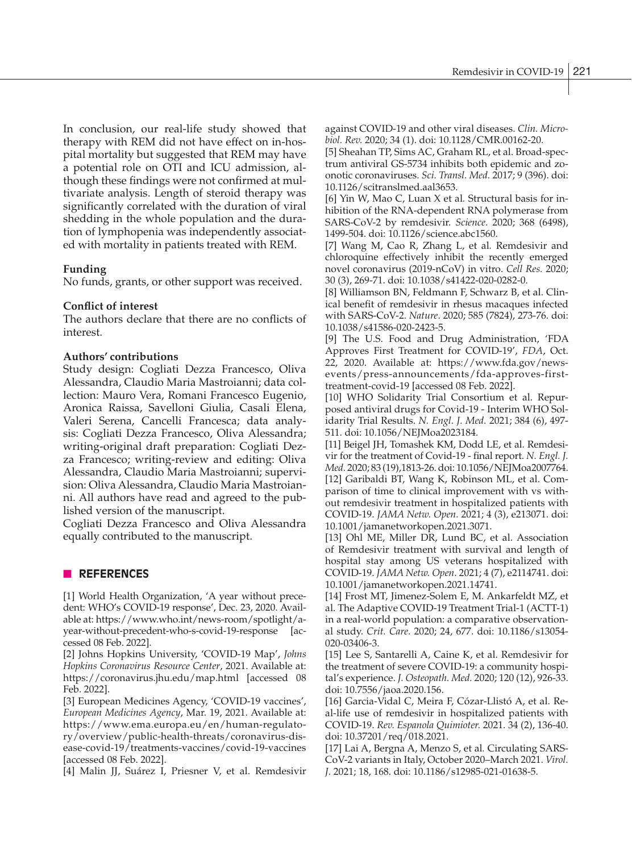In conclusion, our real-life study showed that therapy with REM did not have effect on in-hospital mortality but suggested that REM may have a potential role on OTI and ICU admission, although these findings were not confirmed at multivariate analysis. Length of steroid therapy was significantly correlated with the duration of viral shedding in the whole population and the duration of lymphopenia was independently associated with mortality in patients treated with REM.

# **Funding**

No funds, grants, or other support was received.

# **Conflict of interest**

The authors declare that there are no conflicts of interest.

# **Authors' contributions**

Study design: Cogliati Dezza Francesco, Oliva Alessandra, Claudio Maria Mastroianni; data collection: Mauro Vera, Romani Francesco Eugenio, Aronica Raissa, Savelloni Giulia, Casali Elena, Valeri Serena, Cancelli Francesca; data analysis: Cogliati Dezza Francesco, Oliva Alessandra; writing-original draft preparation: Cogliati Dezza Francesco; writing-review and editing: Oliva Alessandra, Claudio Maria Mastroianni; supervision: Oliva Alessandra, Claudio Maria Mastroianni. All authors have read and agreed to the published version of the manuscript.

Cogliati Dezza Francesco and Oliva Alessandra equally contributed to the manuscript.

# n **REFERENCES**

[1] World Health Organization, 'A year without precedent: WHO's COVID-19 response', Dec. 23, 2020. Available at: https://www.who.int/news-room/spotlight/ayear-without-precedent-who-s-covid-19-response [accessed 08 Feb. 2022].

[2] Johns Hopkins University, 'COVID-19 Map', *Johns Hopkins Coronavirus Resource Center*, 2021. Available at: https://coronavirus.jhu.edu/map.html [accessed 08 Feb. 2022].

[3] European Medicines Agency, 'COVID-19 vaccines', *European Medicines Agency*, Mar. 19, 2021. Available at: https://www.ema.europa.eu/en/human-regulatory/overview/public-health-threats/coronavirus-disease-covid-19/treatments-vaccines/covid-19-vaccines [accessed 08 Feb. 2022].

[4] Malin JJ, Suárez I, Priesner V, et al. Remdesivir

against COVID-19 and other viral diseases. *Clin. Microbiol. Rev.* 2020; 34 (1). doi: 10.1128/CMR.00162-20.

[5] Sheahan TP, Sims AC, Graham RL, et al. Broad-spectrum antiviral GS-5734 inhibits both epidemic and zoonotic coronaviruses. *Sci. Transl. Med.* 2017; 9 (396). doi: 10.1126/scitranslmed.aal3653.

[6] Yin W, Mao C, Luan X et al*.* Structural basis for inhibition of the RNA-dependent RNA polymerase from SARS-CoV-2 by remdesivir. *Science*. 2020; 368 (6498), 1499-504. doi: 10.1126/science.abc1560.

[7] Wang M, Cao R, Zhang L, et al*.* Remdesivir and chloroquine effectively inhibit the recently emerged novel coronavirus (2019-nCoV) in vitro. *Cell Res.* 2020; 30 (3), 269-71. doi: 10.1038/s41422-020-0282-0.

[8] Williamson BN, Feldmann F, Schwarz B, et al. Clinical benefit of remdesivir in rhesus macaques infected with SARS-CoV-2. *Nature*. 2020; 585 (7824), 273-76. doi: 10.1038/s41586-020-2423-5.

[9] The U.S. Food and Drug Administration, 'FDA Approves First Treatment for COVID-19', *FDA*, Oct. 22, 2020. Available at: https://www.fda.gov/newsevents/press-announcements/fda-approves-firsttreatment-covid-19 [accessed 08 Feb. 2022].

[10] WHO Solidarity Trial Consortium et al. Repurposed antiviral drugs for Covid-19 - Interim WHO Solidarity Trial Results. *N. Engl. J. Med.* 2021; 384 (6), 497- 511. doi: 10.1056/NEJMoa2023184.

[11] Beigel JH, Tomashek KM, Dodd LE, et al. Remdesivir for the treatment of Covid-19 - final report. *N. Engl. J. Med.* 2020; 83 (19),1813-26. doi: 10.1056/NEJMoa2007764. [12] Garibaldi BT, Wang K, Robinson ML, et al. Comparison of time to clinical improvement with vs without remdesivir treatment in hospitalized patients with COVID-19. *JAMA Netw. Open*. 2021; 4 (3), e213071. doi: 10.1001/jamanetworkopen.2021.3071.

[13] Ohl ME, Miller DR, Lund BC, et al. Association of Remdesivir treatment with survival and length of hospital stay among US veterans hospitalized with COVID-19. *JAMA Netw. Open*. 2021; 4 (7), e2114741. doi: 10.1001/jamanetworkopen.2021.14741.

[14] Frost MT, Jimenez-Solem E, M. Ankarfeldt MZ, et al. The Adaptive COVID-19 Treatment Trial-1 (ACTT-1) in a real-world population: a comparative observational study. *Crit. Care*. 2020; 24, 677. doi: 10.1186/s13054- 020-03406-3.

[15] Lee S, Santarelli A, Caine K, et al. Remdesivir for the treatment of severe COVID-19: a community hospital's experience. *J. Osteopath. Med.* 2020; 120 (12), 926-33. doi: 10.7556/jaoa.2020.156.

[16] Garcia-Vidal C, Meira F, Cózar-Llistó A, et al. Real-life use of remdesivir in hospitalized patients with COVID-19. *Rev. Espanola Quimioter.* 2021. 34 (2), 136-40. doi: 10.37201/req/018.2021.

[17] Lai A, Bergna A, Menzo S, et al*.* Circulating SARS-CoV-2 variants in Italy, October 2020–March 2021. *Virol. J.* 2021; 18, 168. doi: 10.1186/s12985-021-01638-5.